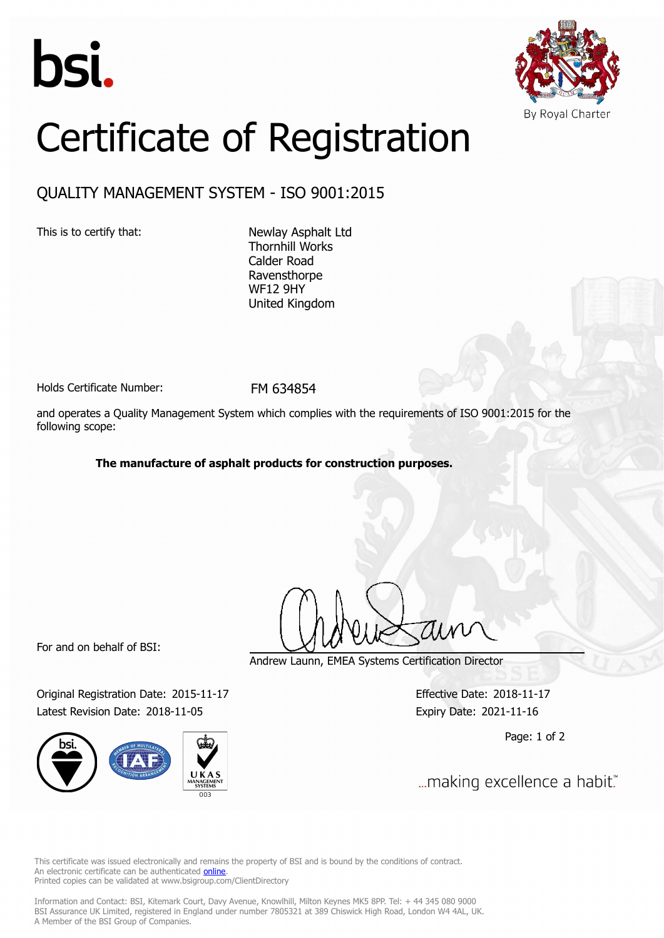



# Certificate of Registration

## QUALITY MANAGEMENT SYSTEM - ISO 9001:2015

This is to certify that: Newlay Asphalt Ltd Thornhill Works Calder Road Ravensthorpe WF12 9HY United Kingdom

Holds Certificate Number: FM 634854

and operates a Quality Management System which complies with the requirements of ISO 9001:2015 for the following scope:

#### **The manufacture of asphalt products for construction purposes.**

For and on behalf of BSI:

Original Registration Date: 2015-11-17 Effective Date: 2018-11-17 Latest Revision Date: 2018-11-05 Expiry Date: 2021-11-16



Andrew Launn, EMEA Systems Certification Director

Page: 1 of 2

... making excellence a habit."

This certificate was issued electronically and remains the property of BSI and is bound by the conditions of contract. An electronic certificate can be authenticated **[online](https://pgplus.bsigroup.com/CertificateValidation/CertificateValidator.aspx?CertificateNumber=FM+634854&ReIssueDate=05%2f11%2f2018&Template=uk)**. Printed copies can be validated at www.bsigroup.com/ClientDirectory

Information and Contact: BSI, Kitemark Court, Davy Avenue, Knowlhill, Milton Keynes MK5 8PP. Tel: + 44 345 080 9000 BSI Assurance UK Limited, registered in England under number 7805321 at 389 Chiswick High Road, London W4 4AL, UK. A Member of the BSI Group of Companies.